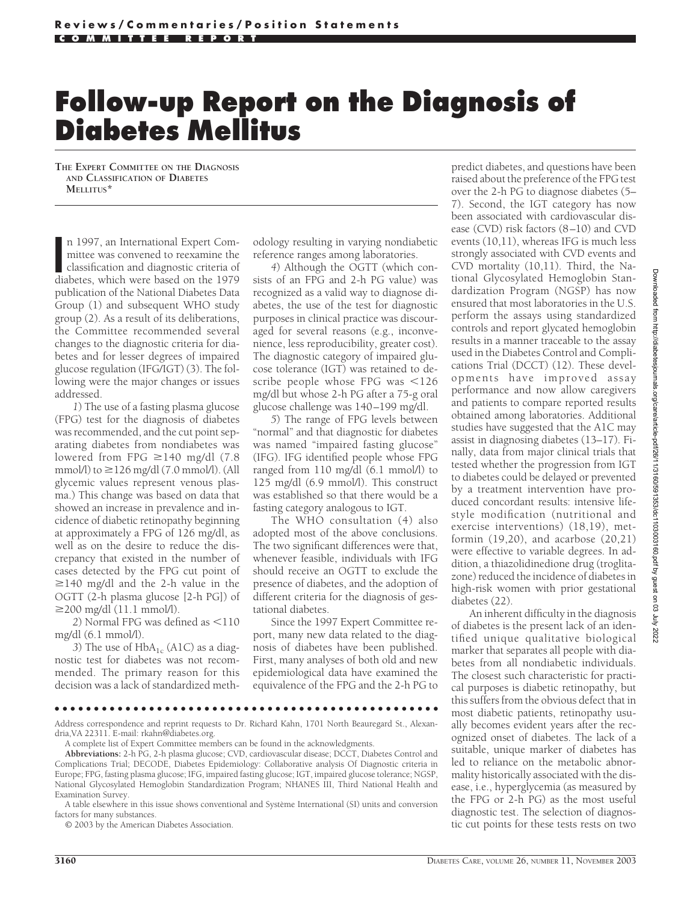# **Follow-up Report on the Diagnosis of Diabetes Mellitus**

**THE EXPERT COMMITTEE ON THE DIAGNOSIS AND CLASSIFICATION OF DIABETES MELLITUS\***

n 1997, an International Expert Committee was convened to reexamine the classification and diagnostic criteria of diabetes, which were based on the 1979 n 1997, an International Expert Committee was convened to reexamine the classification and diagnostic criteria of publication of the National Diabetes Data Group (1) and subsequent WHO study group (2). As a result of its deliberations, the Committee recommended several changes to the diagnostic criteria for diabetes and for lesser degrees of impaired glucose regulation (IFG/IGT) (3). The following were the major changes or issues addressed.

*1*) The use of a fasting plasma glucose (FPG) test for the diagnosis of diabetes was recommended, and the cut point separating diabetes from nondiabetes was lowered from FPG  $\geq$ 140 mg/dl (7.8) mmol/l) to  $\geq$ 126 mg/dl (7.0 mmol/l). (All glycemic values represent venous plasma.) This change was based on data that showed an increase in prevalence and incidence of diabetic retinopathy beginning at approximately a FPG of 126 mg/dl, as well as on the desire to reduce the discrepancy that existed in the number of cases detected by the FPG cut point of  $\geq$ 140 mg/dl and the 2-h value in the OGTT (2-h plasma glucose [2-h PG]) of  $\geq$ 200 mg/dl (11.1 mmol/l).

2) Normal FPG was defined as <110 mg/dl (6.1 mmol/l).

3) The use of  $HbA_{1c}$  (A1C) as a diagnostic test for diabetes was not recommended. The primary reason for this decision was a lack of standardized methodology resulting in varying nondiabetic reference ranges among laboratories.

*4*) Although the OGTT (which consists of an FPG and 2-h PG value) was recognized as a valid way to diagnose diabetes, the use of the test for diagnostic purposes in clinical practice was discouraged for several reasons (e.g., inconvenience, less reproducibility, greater cost). The diagnostic category of impaired glucose tolerance (IGT) was retained to describe people whose FPG was  $\leq 126$ mg/dl but whose 2-h PG after a 75-g oral glucose challenge was 140–199 mg/dl.

*5*) The range of FPG levels between "normal" and that diagnostic for diabetes was named "impaired fasting glucose" (IFG). IFG identified people whose FPG ranged from 110 mg/dl (6.1 mmol/l) to 125 mg/dl (6.9 mmol/l). This construct was established so that there would be a fasting category analogous to IGT.

The WHO consultation (4) also adopted most of the above conclusions. The two significant differences were that, whenever feasible, individuals with IFG should receive an OGTT to exclude the presence of diabetes, and the adoption of different criteria for the diagnosis of gestational diabetes.

Since the 1997 Expert Committee report, many new data related to the diagnosis of diabetes have been published. First, many analyses of both old and new epidemiological data have examined the equivalence of the FPG and the 2-h PG to

predict diabetes, and questions have been raised about the preference of the FPG test over the 2-h PG to diagnose diabetes (5– 7). Second, the IGT category has now been associated with cardiovascular disease (CVD) risk factors (8–10) and CVD events (10,11), whereas IFG is much less strongly associated with CVD events and CVD mortality (10,11). Third, the National Glycosylated Hemoglobin Standardization Program (NGSP) has now ensured that most laboratories in the U.S. perform the assays using standardized controls and report glycated hemoglobin results in a manner traceable to the assay used in the Diabetes Control and Complications Trial (DCCT) (12). These developments have improved assay performance and now allow caregivers and patients to compare reported results obtained among laboratories. Additional studies have suggested that the A1C may assist in diagnosing diabetes (13–17). Finally, data from major clinical trials that tested whether the progression from IGT to diabetes could be delayed or prevented by a treatment intervention have produced concordant results: intensive lifestyle modification (nutritional and exercise interventions) (18,19), metformin (19,20), and acarbose (20,21) were effective to variable degrees. In addition, a thiazolidinedione drug (troglitazone) reduced the incidence of diabetes in high-risk women with prior gestational diabetes (22).

An inherent difficulty in the diagnosis of diabetes is the present lack of an identified unique qualitative biological marker that separates all people with diabetes from all nondiabetic individuals. The closest such characteristic for practical purposes is diabetic retinopathy, but this suffers from the obvious defect that in most diabetic patients, retinopathy usually becomes evident years after the recognized onset of diabetes. The lack of a suitable, unique marker of diabetes has led to reliance on the metabolic abnormality historically associated with the disease, i.e., hyperglycemia (as measured by the FPG or 2-h PG) as the most useful diagnostic test. The selection of diagnostic cut points for these tests rests on two

●●●●●●●●●●●●●●●●●●●●●●●●●●●●●●●●●●●●●●●●●●●●●●●●●

Address correspondence and reprint requests to Dr. Richard Kahn, 1701 North Beauregard St., Alexandria,VA 22311. E-mail: rkahn@diabetes.org.

A complete list of Expert Committee members can be found in the acknowledgments.

**Abbreviations:** 2-h PG, 2-h plasma glucose; CVD, cardiovascular disease; DCCT, Diabetes Control and Complications Trial; DECODE, Diabetes Epidemiology: Collaborative analysis Of Diagnostic criteria in Europe; FPG, fasting plasma glucose; IFG, impaired fasting glucose; IGT, impaired glucose tolerance; NGSP, National Glycosylated Hemoglobin Standardization Program; NHANES III, Third National Health and Examination Survey.

© 2003 by the American Diabetes Association.

A table elsewhere in this issue shows conventional and Système International (SI) units and conversion factors for many substances.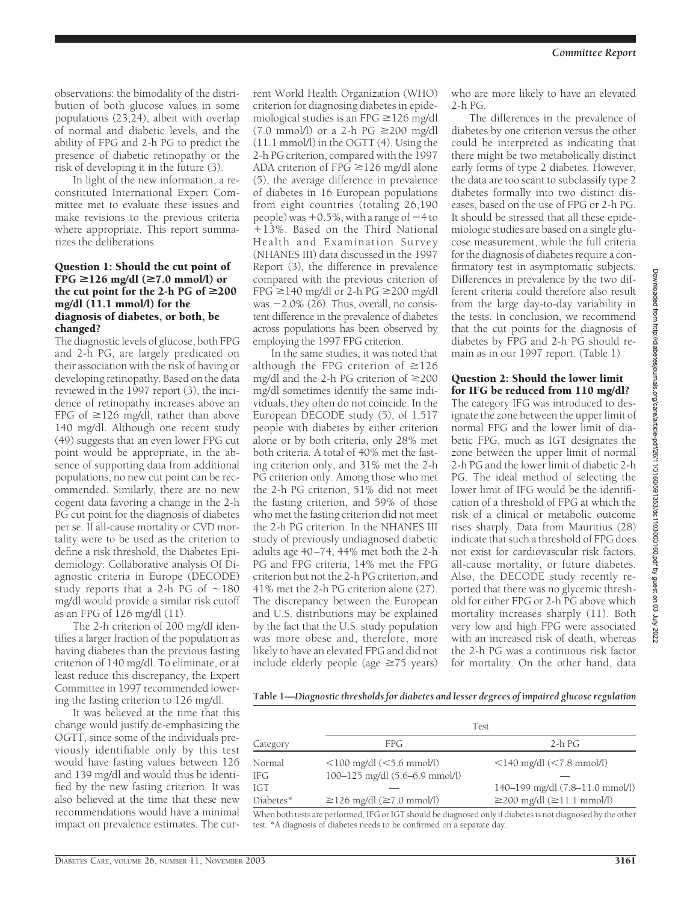observations: the bimodality of the distribution of both glucose values in some populations (23,24), albeit with overlap of normal and diabetic levels, and the ability of FPG and 2-h PG to predict the presence of diabetic retinopathy or the risk of developing it in the future (3).

In light of the new information, a reconstituted International Expert Committee met to evaluate these issues and make revisions to the previous criteria where appropriate. This report summarizes the deliberations.

#### Question 1: Should the cut point of FPG  $\geq$ 126 mg/dl ( $\geq$ 7.0 mmol/l) or the cut point for the 2-h PG of  $\geq 200$ mg/dl (11.1 mmol/l) for the diagnosis of diabetes, or both, be changed?

The diagnostic levels of glucose, both FPG and 2-h PG, are largely predicated on their association with the risk of having or developing retinopathy. Based on the data reviewed in the 1997 report (3), the incidence of retinopathy increases above an FPG of  $\geq$ 126 mg/dl, rather than above 140 mg/dl. Although one recent study (49) suggests that an even lower FPG cut point would be appropriate, in the absence of supporting data from additional populations, no new cut point can be recommended. Similarly, there are no new cogent data favoring a change in the 2-h PG cut point for the diagnosis of diabetes per se. If all-cause mortality or CVD mortality were to be used as the criterion to define a risk threshold, the Diabetes Epidemiology: Collaborative analysis Of Diagnostic criteria in Europe (DECODE) study reports that a 2-h PG of  $\sim$ 180 mg/dl would provide a similar risk cutoff as an FPG of 126 mg/dl (11).

The 2-h criterion of 200 mg/dl identifies a larger fraction of the population as having diabetes than the previous fasting criterion of 140 mg/dl. To eliminate, or at least reduce this discrepancy, the Expert Committee in 1997 recommended lowering the fasting criterion to 126 mg/dl.

It was believed at the time that this change would justify de-emphasizing the OGTT, since some of the individuals previously identifiable only by this test would have fasting values between 126 and 139 mg/dl and would thus be identified by the new fasting criterion. It was also believed at the time that these new recommendations would have a minimal impact on prevalence estimates. The cur-

rent World Health Organization (WHO) criterion for diagnosing diabetes in epidemiological studies is an FPG  $\geq$  126 mg/dl  $(7.0 \text{ mmol/l})$  or a 2-h PG  $\geq$ 200 mg/dl (11.1 mmol/l) in the OGTT (4). Using the 2-h PG criterion, compared with the 1997 ADA criterion of FPG  $\geq$  126 mg/dl alone (5), the average difference in prevalence of diabetes in 16 European populations from eight countries (totaling 26,190 people) was  $+0.5\%$ , with a range of  $-4$  to 13%. Based on the Third National Health and Examination Survey (NHANES III) data discussed in the 1997 Report (3), the difference in prevalence compared with the previous criterion of  $FPG \geq 140$  mg/dl or 2-h PG  $\geq 200$  mg/dl was  $-2.0\%$  (26). Thus, overall, no consistent difference in the prevalence of diabetes across populations has been observed by employing the 1997 FPG criterion.

In the same studies, it was noted that although the FPG criterion of  $\geq 126$ mg/dl and the 2-h PG criterion of  $\geq$ 200 mg/dl sometimes identify the same individuals, they often do not coincide. In the European DECODE study (5), of 1,517 people with diabetes by either criterion alone or by both criteria, only 28% met both criteria. A total of 40% met the fasting criterion only, and 31% met the 2-h PG criterion only. Among those who met the 2-h PG criterion, 51% did not meet the fasting criterion, and 59% of those who met the fasting criterion did not meet the 2-h PG criterion. In the NHANES III study of previously undiagnosed diabetic adults age 40–74, 44% met both the 2-h PG and FPG criteria, 14% met the FPG criterion but not the 2-h PG criterion, and 41% met the 2-h PG criterion alone (27). The discrepancy between the European and U.S. distributions may be explained by the fact that the U.S. study population was more obese and, therefore, more likely to have an elevated FPG and did not include elderly people (age  $\geq$ 75 years)

who are more likely to have an elevated  $2-h$  PG.

The differences in the prevalence of diabetes by one criterion versus the other could be interpreted as indicating that there might be two metabolically distinct early forms of type 2 diabetes. However, the data are too scant to subclassify type 2 diabetes formally into two distinct diseases, based on the use of FPG or 2-h PG. It should be stressed that all these epidemiologic studies are based on a single glucose measurement, while the full criteria for the diagnosis of diabetes require a confirmatory test in asymptomatic subjects. Differences in prevalence by the two different criteria could therefore also result from the large day-to-day variability in the tests. In conclusion, we recommend that the cut points for the diagnosis of diabetes by FPG and 2-h PG should remain as in our 1997 report. (Table 1)

## Question 2: Should the lower limit for IFG be reduced from 110 mg/dl?

The category IFG was introduced to designate the zone between the upper limit of normal FPG and the lower limit of diabetic FPG, much as IGT designates the zone between the upper limit of normal 2-h PG and the lower limit of diabetic 2-h PG. The ideal method of selecting the lower limit of IFG would be the identification of a threshold of FPG at which the risk of a clinical or metabolic outcome rises sharply. Data from Mauritius (28) indicate that such a threshold of FPG does not exist for cardiovascular risk factors, all-cause mortality, or future diabetes. Also, the DECODE study recently reported that there was no glycemic threshold for either FPG or 2-h PG above which mortality increases sharply (11). Both very low and high FPG were associated with an increased risk of death, whereas the 2-h PG was a continuous risk factor for mortality. On the other hand, data

**Table 1—***Diagnostic thresholds for diabetes and lesser degrees of impaired glucose regulation*

|           | <b>Test</b>                                                      |                                        |
|-----------|------------------------------------------------------------------|----------------------------------------|
| Category  | FPG                                                              | $2-h$ PG                               |
| Normal    | $\langle 100 \text{ mg/dl} (\langle 5.6 \text{ mmol/l} \rangle)$ | $\leq$ 140 mg/dl $\leq$ 7.8 mmol/l)    |
| IFG       | $100 - 125$ mg/dl $(5.6 - 6.9$ mmol/l)                           |                                        |
| IGT       |                                                                  | 140–199 mg/dl (7.8–11.0 mmol/l)        |
| Diabetes* | $\geq$ 126 mg/dl ( $\geq$ 7.0 mmol/l)                            | $\geq$ 200 mg/dl ( $\geq$ 11.1 mmol/l) |
|           |                                                                  |                                        |

When both tests are performed, IFG or IGT should be diagnosed only if diabetes is not diagnosed by the other test. \*A diagnosis of diabetes needs to be confirmed on a separate day.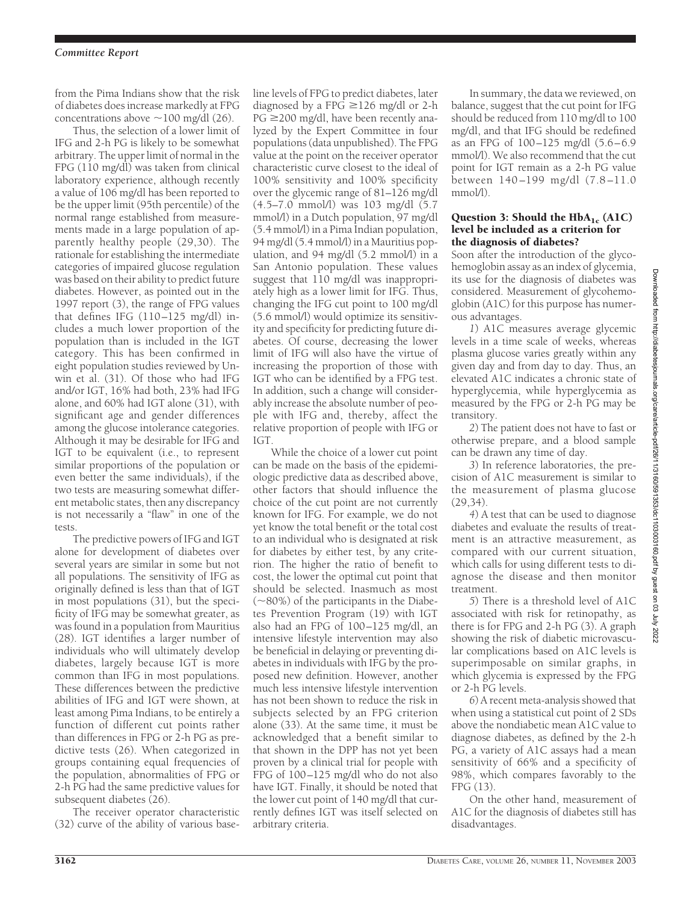from the Pima Indians show that the risk of diabetes does increase markedly at FPG concentrations above  $\sim$  100 mg/dl (26).

Thus, the selection of a lower limit of IFG and 2-h PG is likely to be somewhat arbitrary. The upper limit of normal in the FPG (110 mg/dl) was taken from clinical laboratory experience, although recently a value of 106 mg/dl has been reported to be the upper limit (95th percentile) of the normal range established from measurements made in a large population of apparently healthy people (29,30). The rationale for establishing the intermediate categories of impaired glucose regulation was based on their ability to predict future diabetes. However, as pointed out in the 1997 report (3), the range of FPG values that defines IFG  $(110-125 \text{ mg/dl})$  includes a much lower proportion of the population than is included in the IGT category. This has been confirmed in eight population studies reviewed by Unwin et al. (31). Of those who had IFG and/or IGT, 16% had both, 23% had IFG alone, and 60% had IGT alone (31), with significant age and gender differences among the glucose intolerance categories. Although it may be desirable for IFG and IGT to be equivalent (i.e., to represent similar proportions of the population or even better the same individuals), if the two tests are measuring somewhat different metabolic states, then any discrepancy is not necessarily a "flaw" in one of the tests.

The predictive powers of IFG and IGT alone for development of diabetes over several years are similar in some but not all populations. The sensitivity of IFG as originally defined is less than that of IGT in most populations (31), but the specificity of IFG may be somewhat greater, as was found in a population from Mauritius (28). IGT identifies a larger number of individuals who will ultimately develop diabetes, largely because IGT is more common than IFG in most populations. These differences between the predictive abilities of IFG and IGT were shown, at least among Pima Indians, to be entirely a function of different cut points rather than differences in FPG or 2-h PG as predictive tests (26). When categorized in groups containing equal frequencies of the population, abnormalities of FPG or 2-h PG had the same predictive values for subsequent diabetes (26).

The receiver operator characteristic (32) curve of the ability of various base-

line levels of FPG to predict diabetes, later diagnosed by a FPG  $\geq$  126 mg/dl or 2-h  $PG \geq 200$  mg/dl, have been recently analyzed by the Expert Committee in four populations (data unpublished). The FPG value at the point on the receiver operator characteristic curve closest to the ideal of 100% sensitivity and 100% specificity over the glycemic range of 81–126 mg/dl (4.5–7.0 mmol/l) was 103 mg/dl (5.7 mmol/l) in a Dutch population, 97 mg/dl (5.4 mmol/l) in a Pima Indian population, 94 mg/dl (5.4 mmol/l) in a Mauritius population, and 94 mg/dl (5.2 mmol/l) in a San Antonio population. These values suggest that 110 mg/dl was inappropriately high as a lower limit for IFG. Thus, changing the IFG cut point to 100 mg/dl (5.6 mmol/l) would optimize its sensitivity and specificity for predicting future diabetes. Of course, decreasing the lower limit of IFG will also have the virtue of increasing the proportion of those with IGT who can be identified by a FPG test. In addition, such a change will considerably increase the absolute number of people with IFG and, thereby, affect the relative proportion of people with IFG or IGT.

While the choice of a lower cut point can be made on the basis of the epidemiologic predictive data as described above, other factors that should influence the choice of the cut point are not currently known for IFG. For example, we do not yet know the total benefit or the total cost to an individual who is designated at risk for diabetes by either test, by any criterion. The higher the ratio of benefit to cost, the lower the optimal cut point that should be selected. Inasmuch as most (~80%) of the participants in the Diabetes Prevention Program (19) with IGT also had an FPG of 100–125 mg/dl, an intensive lifestyle intervention may also be beneficial in delaying or preventing diabetes in individuals with IFG by the proposed new definition. However, another much less intensive lifestyle intervention has not been shown to reduce the risk in subjects selected by an FPG criterion alone (33). At the same time, it must be acknowledged that a benefit similar to that shown in the DPP has not yet been proven by a clinical trial for people with FPG of 100–125 mg/dl who do not also have IGT. Finally, it should be noted that the lower cut point of 140 mg/dl that currently defines IGT was itself selected on arbitrary criteria.

In summary, the data we reviewed, on balance, suggest that the cut point for IFG should be reduced from 110 mg/dl to 100 mg/dl, and that IFG should be redefined as an FPG of 100–125 mg/dl (5.6–6.9 mmol/l). We also recommend that the cut point for IGT remain as a 2-h PG value between 140 –199 mg/dl (7.8 –11.0 mmol/l).

### Question 3: Should the  $HbA_{1c}$  (A1C) level be included as a criterion for the diagnosis of diabetes?

Soon after the introduction of the glycohemoglobin assay as an index of glycemia, its use for the diagnosis of diabetes was considered. Measurement of glycohemoglobin (A1C) for this purpose has numerous advantages.

*1*) A1C measures average glycemic levels in a time scale of weeks, whereas plasma glucose varies greatly within any given day and from day to day. Thus, an elevated A1C indicates a chronic state of hyperglycemia, while hyperglycemia as measured by the FPG or 2-h PG may be transitory.

*2*) The patient does not have to fast or otherwise prepare, and a blood sample can be drawn any time of day.

*3*) In reference laboratories, the precision of A1C measurement is similar to the measurement of plasma glucose (29,34).

*4*) A test that can be used to diagnose diabetes and evaluate the results of treatment is an attractive measurement, as compared with our current situation, which calls for using different tests to diagnose the disease and then monitor treatment.

*5*) There is a threshold level of A1C associated with risk for retinopathy, as there is for FPG and 2-h PG (3). A graph showing the risk of diabetic microvascular complications based on A1C levels is superimposable on similar graphs, in which glycemia is expressed by the FPG or 2-h PG levels.

*6*) A recent meta-analysis showed that when using a statistical cut point of 2 SDs above the nondiabetic mean A1C value to diagnose diabetes, as defined by the 2-h PG, a variety of A1C assays had a mean sensitivity of 66% and a specificity of 98%, which compares favorably to the FPG (13).

On the other hand, measurement of A1C for the diagnosis of diabetes still has disadvantages.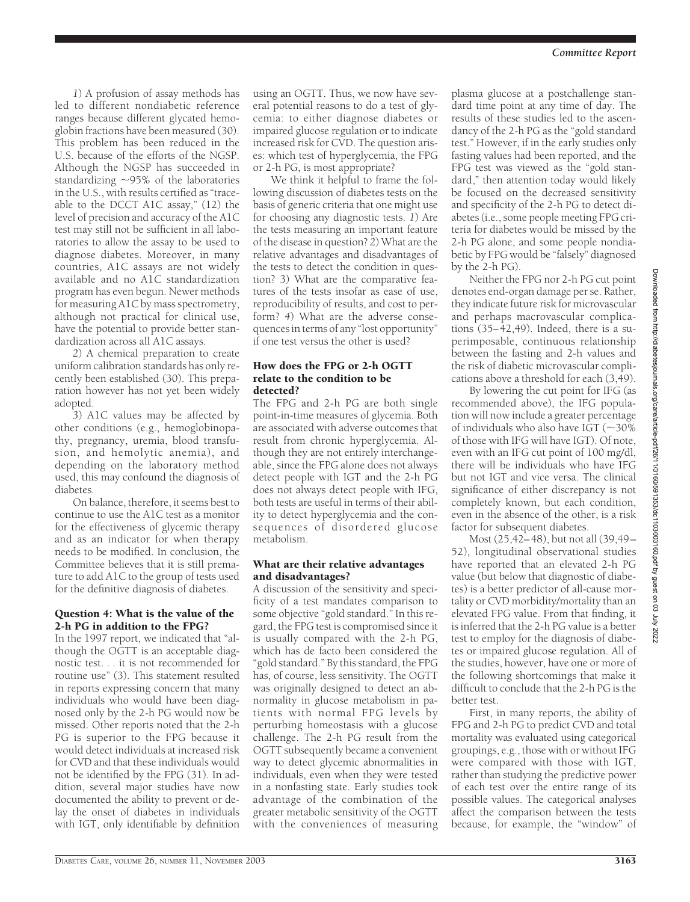*1*) A profusion of assay methods has led to different nondiabetic reference ranges because different glycated hemoglobin fractions have been measured (30). This problem has been reduced in the U.S. because of the efforts of the NGSP. Although the NGSP has succeeded in standardizing  $\sim$ 95% of the laboratories in the U.S., with results certified as "traceable to the DCCT A1C assay," (12) the level of precision and accuracy of the A1C test may still not be sufficient in all laboratories to allow the assay to be used to diagnose diabetes. Moreover, in many countries, A1C assays are not widely available and no A1C standardization program has even begun. Newer methods for measuring A1C by mass spectrometry, although not practical for clinical use, have the potential to provide better standardization across all A1C assays.

*2*) A chemical preparation to create uniform calibration standards has only recently been established (30). This preparation however has not yet been widely adopted.

*3*) A1C values may be affected by other conditions (e.g., hemoglobinopathy, pregnancy, uremia, blood transfusion, and hemolytic anemia), and depending on the laboratory method used, this may confound the diagnosis of diabetes.

On balance, therefore, it seems best to continue to use the A1C test as a monitor for the effectiveness of glycemic therapy and as an indicator for when therapy needs to be modified. In conclusion, the Committee believes that it is still premature to add A1C to the group of tests used for the definitive diagnosis of diabetes.

#### Question 4: What is the value of the 2-h PG in addition to the FPG?

In the 1997 report, we indicated that "although the OGTT is an acceptable diagnostic test. . . it is not recommended for routine use" (3). This statement resulted in reports expressing concern that many individuals who would have been diagnosed only by the 2-h PG would now be missed. Other reports noted that the 2-h PG is superior to the FPG because it would detect individuals at increased risk for CVD and that these individuals would not be identified by the FPG (31). In addition, several major studies have now documented the ability to prevent or delay the onset of diabetes in individuals with IGT, only identifiable by definition

using an OGTT. Thus, we now have several potential reasons to do a test of glycemia: to either diagnose diabetes or impaired glucose regulation or to indicate increased risk for CVD. The question arises: which test of hyperglycemia, the FPG or 2-h PG, is most appropriate?

We think it helpful to frame the following discussion of diabetes tests on the basis of generic criteria that one might use for choosing any diagnostic tests. *1*) Are the tests measuring an important feature of the disease in question? *2*) What are the relative advantages and disadvantages of the tests to detect the condition in question? 3) What are the comparative features of the tests insofar as ease of use, reproducibility of results, and cost to perform? *4*) What are the adverse consequences in terms of any "lost opportunity" if one test versus the other is used?

## How does the FPG or 2-h OGTT relate to the condition to be detected?

The FPG and 2-h PG are both single point-in-time measures of glycemia. Both are associated with adverse outcomes that result from chronic hyperglycemia. Although they are not entirely interchangeable, since the FPG alone does not always detect people with IGT and the 2-h PG does not always detect people with IFG, both tests are useful in terms of their ability to detect hyperglycemia and the consequences of disordered glucose metabolism.

## What are their relative advantages and disadvantages?

A discussion of the sensitivity and specificity of a test mandates comparison to some objective "gold standard." In this regard, the FPG test is compromised since it is usually compared with the 2-h PG, which has de facto been considered the "gold standard." By this standard, the FPG has, of course, less sensitivity. The OGTT was originally designed to detect an abnormality in glucose metabolism in patients with normal FPG levels by perturbing homeostasis with a glucose challenge. The 2-h PG result from the OGTT subsequently became a convenient way to detect glycemic abnormalities in individuals, even when they were tested in a nonfasting state. Early studies took advantage of the combination of the greater metabolic sensitivity of the OGTT with the conveniences of measuring

plasma glucose at a postchallenge standard time point at any time of day. The results of these studies led to the ascendancy of the 2-h PG as the "gold standard test." However, if in the early studies only fasting values had been reported, and the FPG test was viewed as the "gold standard," then attention today would likely be focused on the decreased sensitivity and specificity of the 2-h PG to detect diabetes (i.e., some people meeting FPG criteria for diabetes would be missed by the 2-h PG alone, and some people nondiabetic by FPG would be "falsely" diagnosed by the 2-h PG).

Neither the FPG nor 2-h PG cut point denotes end-organ damage per se. Rather, they indicate future risk for microvascular and perhaps macrovascular complications (35–42,49). Indeed, there is a superimposable, continuous relationship between the fasting and 2-h values and the risk of diabetic microvascular complications above a threshold for each (3,49).

By lowering the cut point for IFG (as recommended above), the IFG population will now include a greater percentage of individuals who also have IGT ( $\sim$ 30% of those with IFG will have IGT). Of note, even with an IFG cut point of 100 mg/dl, there will be individuals who have IFG but not IGT and vice versa. The clinical significance of either discrepancy is not completely known, but each condition, even in the absence of the other, is a risk factor for subsequent diabetes.

Most (25,42–48), but not all (39,49– 52), longitudinal observational studies have reported that an elevated 2-h PG value (but below that diagnostic of diabetes) is a better predictor of all-cause mortality or CVD morbidity/mortality than an elevated FPG value. From that finding, it is inferred that the 2-h PG value is a better test to employ for the diagnosis of diabetes or impaired glucose regulation. All of the studies, however, have one or more of the following shortcomings that make it difficult to conclude that the 2-h PG is the better test.

First, in many reports, the ability of FPG and 2-h PG to predict CVD and total mortality was evaluated using categorical groupings, e.g., those with or without IFG were compared with those with IGT, rather than studying the predictive power of each test over the entire range of its possible values. The categorical analyses affect the comparison between the tests because, for example, the "window" of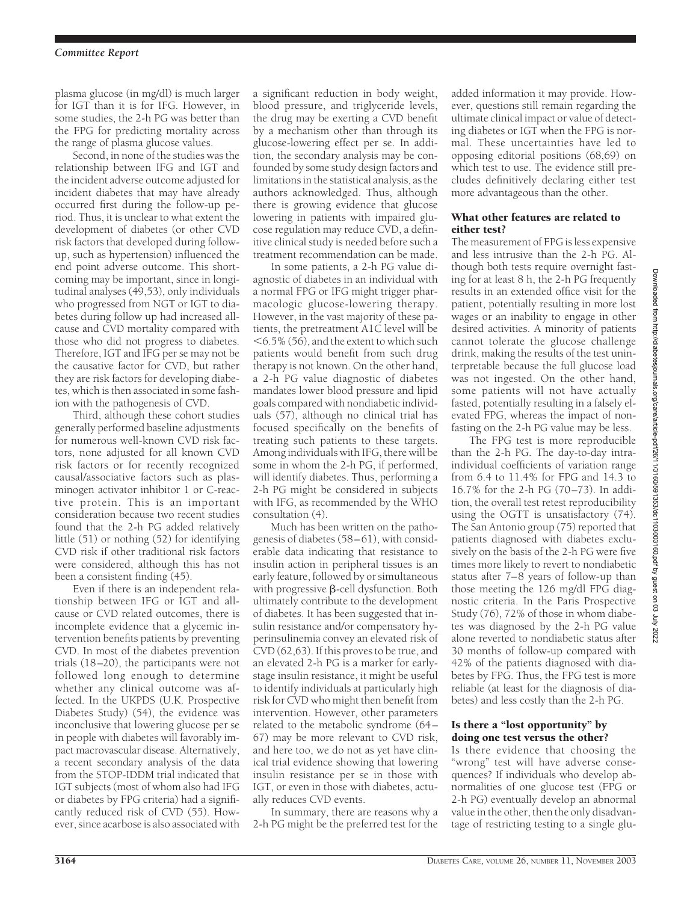#### *Committee Report*

plasma glucose (in mg/dl) is much larger for IGT than it is for IFG. However, in some studies, the 2-h PG was better than the FPG for predicting mortality across the range of plasma glucose values.

Second, in none of the studies was the relationship between IFG and IGT and the incident adverse outcome adjusted for incident diabetes that may have already occurred first during the follow-up period. Thus, it is unclear to what extent the development of diabetes (or other CVD risk factors that developed during followup, such as hypertension) influenced the end point adverse outcome. This shortcoming may be important, since in longitudinal analyses (49,53), only individuals who progressed from NGT or IGT to diabetes during follow up had increased allcause and CVD mortality compared with those who did not progress to diabetes. Therefore, IGT and IFG per se may not be the causative factor for CVD, but rather they are risk factors for developing diabetes, which is then associated in some fashion with the pathogenesis of CVD.

Third, although these cohort studies generally performed baseline adjustments for numerous well-known CVD risk factors, none adjusted for all known CVD risk factors or for recently recognized causal/associative factors such as plasminogen activator inhibitor 1 or C-reactive protein. This is an important consideration because two recent studies found that the 2-h PG added relatively little (51) or nothing (52) for identifying CVD risk if other traditional risk factors were considered, although this has not been a consistent finding (45).

Even if there is an independent relationship between IFG or IGT and allcause or CVD related outcomes, there is incomplete evidence that a glycemic intervention benefits patients by preventing CVD. In most of the diabetes prevention trials (18–20), the participants were not followed long enough to determine whether any clinical outcome was affected. In the UKPDS (U.K. Prospective Diabetes Study) (54), the evidence was inconclusive that lowering glucose per se in people with diabetes will favorably impact macrovascular disease. Alternatively, a recent secondary analysis of the data from the STOP-IDDM trial indicated that IGT subjects (most of whom also had IFG or diabetes by FPG criteria) had a significantly reduced risk of CVD (55). However, since acarbose is also associated with

a significant reduction in body weight, blood pressure, and triglyceride levels, the drug may be exerting a CVD benefit by a mechanism other than through its glucose-lowering effect per se. In addition, the secondary analysis may be confounded by some study design factors and limitations in the statistical analysis, as the authors acknowledged. Thus, although there is growing evidence that glucose lowering in patients with impaired glucose regulation may reduce CVD, a definitive clinical study is needed before such a treatment recommendation can be made.

In some patients, a 2-h PG value diagnostic of diabetes in an individual with a normal FPG or IFG might trigger pharmacologic glucose-lowering therapy. However, in the vast majority of these patients, the pretreatment A1C level will be  $<$  6.5% (56), and the extent to which such patients would benefit from such drug therapy is not known. On the other hand, a 2-h PG value diagnostic of diabetes mandates lower blood pressure and lipid goals compared with nondiabetic individuals (57), although no clinical trial has focused specifically on the benefits of treating such patients to these targets. Among individuals with IFG, there will be some in whom the 2-h PG, if performed, will identify diabetes. Thus, performing a 2-h PG might be considered in subjects with IFG, as recommended by the WHO consultation (4).

Much has been written on the pathogenesis of diabetes (58–61), with considerable data indicating that resistance to insulin action in peripheral tissues is an early feature, followed by or simultaneous with progressive  $\beta$ -cell dysfunction. Both ultimately contribute to the development of diabetes. It has been suggested that insulin resistance and/or compensatory hyperinsulinemia convey an elevated risk of CVD (62,63). If this proves to be true, and an elevated 2-h PG is a marker for earlystage insulin resistance, it might be useful to identify individuals at particularly high risk for CVD who might then benefit from intervention. However, other parameters related to the metabolic syndrome (64– 67) may be more relevant to CVD risk, and here too, we do not as yet have clinical trial evidence showing that lowering insulin resistance per se in those with IGT, or even in those with diabetes, actually reduces CVD events.

In summary, there are reasons why a 2-h PG might be the preferred test for the added information it may provide. However, questions still remain regarding the ultimate clinical impact or value of detecting diabetes or IGT when the FPG is normal. These uncertainties have led to opposing editorial positions (68,69) on which test to use. The evidence still precludes definitively declaring either test more advantageous than the other.

## What other features are related to either test?

The measurement of FPG is less expensive and less intrusive than the 2-h PG. Although both tests require overnight fasting for at least 8 h, the 2-h PG frequently results in an extended office visit for the patient, potentially resulting in more lost wages or an inability to engage in other desired activities. A minority of patients cannot tolerate the glucose challenge drink, making the results of the test uninterpretable because the full glucose load was not ingested. On the other hand, some patients will not have actually fasted, potentially resulting in a falsely elevated FPG, whereas the impact of nonfasting on the 2-h PG value may be less.

The FPG test is more reproducible than the 2-h PG. The day-to-day intraindividual coefficients of variation range from 6.4 to 11.4% for FPG and 14.3 to 16.7% for the 2-h PG (70–73). In addition, the overall test retest reproducibility using the OGTT is unsatisfactory (74). The San Antonio group (75) reported that patients diagnosed with diabetes exclusively on the basis of the 2-h PG were five times more likely to revert to nondiabetic status after 7–8 years of follow-up than those meeting the 126 mg/dl FPG diagnostic criteria. In the Paris Prospective Study (76), 72% of those in whom diabetes was diagnosed by the 2-h PG value alone reverted to nondiabetic status after 30 months of follow-up compared with 42% of the patients diagnosed with diabetes by FPG. Thus, the FPG test is more reliable (at least for the diagnosis of diabetes) and less costly than the 2-h PG.

#### Is there a "lost opportunity" by doing one test versus the other?

Is there evidence that choosing the "wrong" test will have adverse consequences? If individuals who develop abnormalities of one glucose test (FPG or 2-h PG) eventually develop an abnormal value in the other, then the only disadvantage of restricting testing to a single glu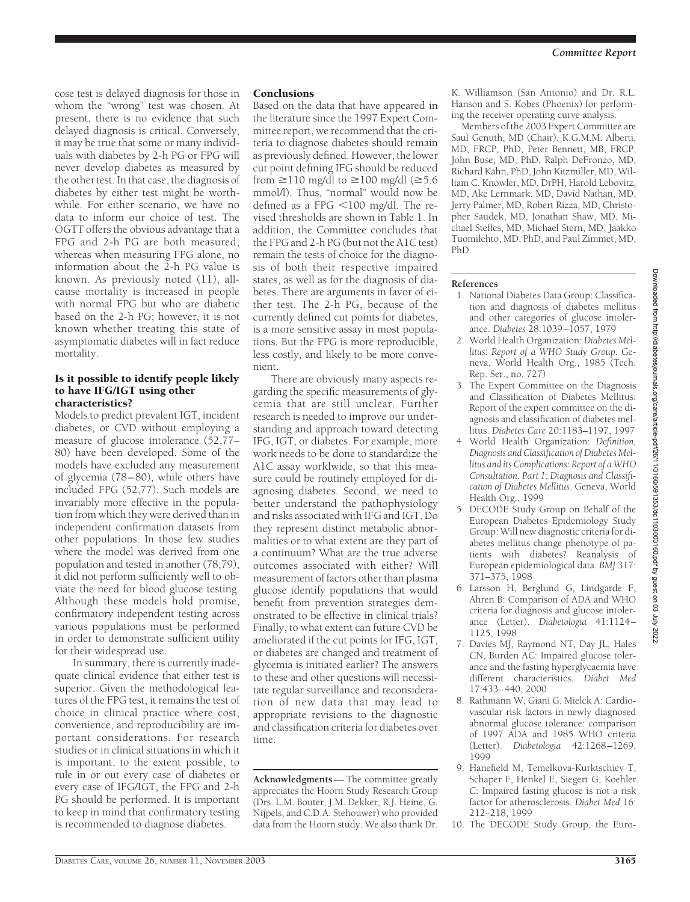cose test is delayed diagnosis for those in whom the "wrong" test was chosen. At present, there is no evidence that such delayed diagnosis is critical. Conversely, it may be true that some or many individuals with diabetes by 2-h PG or FPG will never develop diabetes as measured by the other test. In that case, the diagnosis of diabetes by either test might be worthwhile. For either scenario, we have no data to inform our choice of test. The OGTT offers the obvious advantage that a FPG and 2-h PG are both measured, whereas when measuring FPG alone, no information about the 2-h PG value is known. As previously noted (11), allcause mortality is increased in people with normal FPG but who are diabetic based on the 2-h PG; however, it is not known whether treating this state of asymptomatic diabetes will in fact reduce mortality.

#### Is it possible to identify people likely to have IFG/IGT using other characteristics?

Models to predict prevalent IGT, incident diabetes, or CVD without employing a measure of glucose intolerance (52,77– 80) have been developed. Some of the models have excluded any measurement of glycemia (78–80), while others have included FPG (52,77). Such models are invariably more effective in the population from which they were derived than in independent confirmation datasets from other populations. In those few studies where the model was derived from one population and tested in another (78,79), it did not perform sufficiently well to obviate the need for blood glucose testing. Although these models hold promise, confirmatory independent testing across various populations must be performed in order to demonstrate sufficient utility for their widespread use.

In summary, there is currently inadequate clinical evidence that either test is superior. Given the methodological features of the FPG test, it remains the test of choice in clinical practice where cost, convenience, and reproducibility are important considerations. For research studies or in clinical situations in which it is important, to the extent possible, to rule in or out every case of diabetes or every case of IFG/IGT, the FPG and 2-h PG should be performed. It is important to keep in mind that confirmatory testing is recommended to diagnose diabetes.

## **Conclusions**

Based on the data that have appeared in the literature since the 1997 Expert Committee report, we recommend that the criteria to diagnose diabetes should remain as previously defined. However, the lower cut point defining IFG should be reduced from  $\geq$ 110 mg/dl to  $\geq$ 100 mg/dl ( $\geq$ 5.6 mmol/l). Thus, "normal" would now be defined as a FPG  $<$  100 mg/dl. The revised thresholds are shown in Table 1. In addition, the Committee concludes that the FPG and 2-h PG (but not the A1C test) remain the tests of choice for the diagnosis of both their respective impaired states, as well as for the diagnosis of diabetes. There are arguments in favor of either test. The 2-h PG, because of the currently defined cut points for diabetes, is a more sensitive assay in most populations. But the FPG is more reproducible, less costly, and likely to be more convenient.

There are obviously many aspects regarding the specific measurements of glycemia that are still unclear. Further research is needed to improve our understanding and approach toward detecting IFG, IGT, or diabetes. For example, more work needs to be done to standardize the A1C assay worldwide, so that this measure could be routinely employed for diagnosing diabetes. Second, we need to better understand the pathophysiology and risks associated with IFG and IGT. Do they represent distinct metabolic abnormalities or to what extent are they part of a continuum? What are the true adverse outcomes associated with either? Will measurement of factors other than plasma glucose identify populations that would benefit from prevention strategies demonstrated to be effective in clinical trials? Finally, to what extent can future CVD be ameliorated if the cut points for IFG, IGT, or diabetes are changed and treatment of glycemia is initiated earlier? The answers to these and other questions will necessitate regular surveillance and reconsideration of new data that may lead to appropriate revisions to the diagnostic and classification criteria for diabetes over time.

**Acknowledgments**— The committee greatly appreciates the Hoorn Study Research Group (Drs. L.M. Bouter, J.M. Dekker, R.J. Heine, G. Nijpels, and C.D.A. Stehouwer) who provided data from the Hoorn study. We also thank Dr.

K. Williamson (San Antonio) and Dr. R.L. Hanson and S. Kobes (Phoenix) for performing the receiver operating curve analysis.

Members of the 2003 Expert Committee are Saul Genuth, MD (Chair), K.G.M.M. Alberti, MD, FRCP, PhD, Peter Bennett, MB, FRCP, John Buse, MD, PhD, Ralph DeFronzo, MD, Richard Kahn, PhD, John Kitzmiller, MD, William C. Knowler, MD, DrPH, Harold Lebovitz, MD, Ake Lernmark, MD, David Nathan, MD, Jerry Palmer, MD, Robert Rizza, MD, Christopher Saudek, MD, Jonathan Shaw, MD, Michael Steffes, MD, Michael Stern, MD, Jaakko Tuomilehto, MD, PhD, and Paul Zimmet, MD, PhD.

## **References**

- 1. National Diabetes Data Group: Classification and diagnosis of diabetes mellitus and other categories of glucose intolerance. *Diabetes* 28:1039–1057, 1979
- 2. World Health Organization: *Diabetes Mellitus: Report of a WHO Study Group*. Geneva, World Health Org., 1985 (Tech. Rep. Ser., no. 727)
- 3. The Expert Committee on the Diagnosis and Classification of Diabetes Mellitus: Report of the expert committee on the diagnosis and classification of diabetes mellitus. *Diabetes Care* 20:1183–1197, 1997
- 4. World Health Organization: *Definition, Diagnosis and Classification of Diabetes Mellitus and its Complications: Report of a WHO Consultation. Part 1: Diagnosis and Classification of Diabetes Mellitus*. Geneva, World Health Org., 1999
- 5. DECODE Study Group on Behalf of the European Diabetes Epidemiology Study Group: Will new diagnostic criteria for diabetes mellitus change phenotype of patients with diabetes? Reanalysis of European epidemiological data. *BMJ* 317: 371–375, 1998
- 6. Larsson H, Berglund G, Lindgarde F, Ahren B: Comparison of ADA and WHO criteria for diagnosis and glucose intolerance (Letter). *Diabetologia* 41:1124– 1125, 1998
- 7. Davies MJ, Raymond NT, Day JL, Hales CN, Burden AC: Impaired glucose tolerance and the fasting hyperglycaemia have different characteristics. *Diabet Med* 17:433–440, 2000
- 8. Rathmann W, Giani G, Mielck A: Cardiovascular risk factors in newly diagnosed abnormal glucose tolerance: comparison of 1997 ADA and 1985 WHO criteria (Letter). *Diabetologia* 42:1268–1269, 1999
- 9. Hanefield M, Temelkova-Kurktschiev T, Schaper F, Henkel E, Siegert G, Koehler C: Impaired fasting glucose is not a risk factor for atherosclerosis. *Diabet Med* 16: 212–218, 1999
- 10. The DECODE Study Group, the Euro-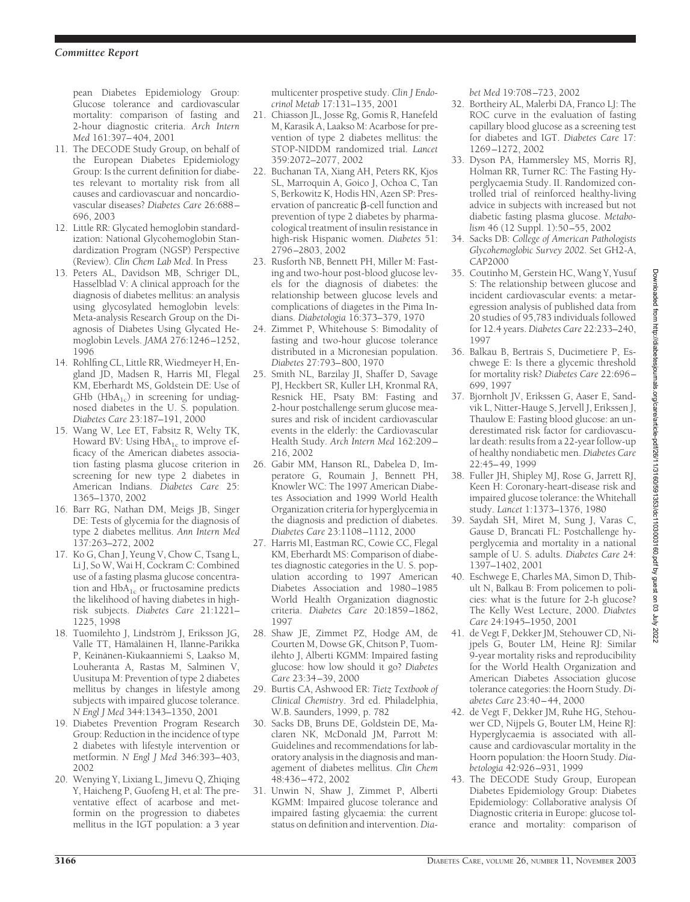pean Diabetes Epidemiology Group: Glucose tolerance and cardiovascular mortality: comparison of fasting and 2-hour diagnostic criteria. *Arch Intern Med* 161:397–404, 2001

- 11. The DECODE Study Group, on behalf of the European Diabetes Epidemiology Group: Is the current definition for diabetes relevant to mortality risk from all causes and cardiovascuar and noncardiovascular diseases? *Diabetes Care* 26:688– 696, 2003
- 12. Little RR: Glycated hemoglobin standardization: National Glycohemoglobin Standardization Program (NGSP) Perspective (Review). *Clin Chem Lab Med*. In Press
- 13. Peters AL, Davidson MB, Schriger DL, Hasselblad V: A clinical approach for the diagnosis of diabetes mellitus: an analysis using glycosylated hemoglobin levels: Meta-analysis Research Group on the Diagnosis of Diabetes Using Glycated Hemoglobin Levels. *JAMA* 276:1246–1252, 1996
- 14. Rohlfing CL, Little RR, Wiedmeyer H, England JD, Madsen R, Harris MI, Flegal KM, Eberhardt MS, Goldstein DE: Use of GHb ( $HbA_{1c}$ ) in screening for undiagnosed diabetes in the U. S. population. *Diabetes Care* 23:187–191, 2000
- 15. Wang W, Lee ET, Fabsitz R, Welty TK, Howard BV: Using  $HbA_{1c}$  to improve efficacy of the American diabetes association fasting plasma glucose criterion in screening for new type 2 diabetes in American Indians. *Diabetes Care* 25: 1365–1370, 2002
- 16. Barr RG, Nathan DM, Meigs JB, Singer DE: Tests of glycemia for the diagnosis of type 2 diabetes mellitus. *Ann Intern Med* 137:263–272, 2002
- 17. Ko G, Chan J, Yeung V, Chow C, Tsang L, Li J, So W, Wai H, Cockram C: Combined use of a fasting plasma glucose concentration and  $HbA_{1c}$  or fructosamine predicts the likelihood of having diabetes in highrisk subjects. *Diabetes Care* 21:1221– 1225, 1998
- 18. Tuomilehto J, Lindström J, Eriksson JG, Valle TT, Hämäläinen H, Ilanne-Parikka P, Keinänen-Kiukaanniemi S, Laakso M, Louheranta A, Rastas M, Salminen V, Uusitupa M: Prevention of type 2 diabetes mellitus by changes in lifestyle among subjects with impaired glucose tolerance. *N Engl J Med* 344:1343–1350, 2001
- 19. Diabetes Prevention Program Research Group: Reduction in the incidence of type 2 diabetes with lifestyle intervention or metformin. *N Engl J Med* 346:393–403, 2002
- 20. Wenying Y, Lixiang L, Jimevu Q, Zhiqing Y, Haicheng P, Guofeng H, et al: The preventative effect of acarbose and metformin on the progression to diabetes mellitus in the IGT population: a 3 year

multicenter prospetive study. *Clin J Endocrinol Metab* 17:131–135, 2001

- 21. Chiasson JL, Josse Rg, Gomis R, Hanefeld M, Karasik A, Laakso M: Acarbose for prevention of type 2 diabetes mellitus: the STOP-NIDDM randomized trial. *Lancet* 359:2072–2077, 2002
- 22. Buchanan TA, Xiang AH, Peters RK, Kjos SL, Marroquin A, Goico J, Ochoa C, Tan S, Berkowitz K, Hodis HN, Azen SP: Preservation of pancreatic  $\beta$ -cell function and prevention of type 2 diabetes by pharmacological treatment of insulin resistance in high-risk Hispanic women. *Diabetes* 51: 2796–2803, 2002
- 23. Rusforth NB, Bennett PH, Miller M: Fasting and two-hour post-blood glucose levels for the diagnosis of diabetes: the relationship between glucose levels and complications of diagetes in the Pima Indians. *Diabetologia* 16:373–379, 1970
- 24. Zimmet P, Whitehouse S: Bimodality of fasting and two-hour glucose tolerance distributed in a Micronesian population. *Diabetes* 27:793–800, 1970
- 25. Smith NL, Barzilay JI, Shaffer D, Savage PJ, Heckbert SR, Kuller LH, Kronmal RA, Resnick HE, Psaty BM: Fasting and 2-hour postchallenge serum glucose measures and risk of incident cardiovascular events in the elderly: the Cardiovascular Health Study. *Arch Intern Med* 162:209– 216, 2002
- 26. Gabir MM, Hanson RL, Dabelea D, Imperatore G, Roumain J, Bennett PH, Knowler WC: The 1997 American Diabetes Association and 1999 World Health Organization criteria for hyperglycemia in the diagnosis and prediction of diabetes. *Diabetes Care* 23:1108–1112, 2000
- 27. Harris MI, Eastman RC, Cowie CC, Flegal KM, Eberhardt MS: Comparison of diabetes diagnostic categories in the U. S. population according to 1997 American Diabetes Association and 1980–1985 World Health Organization diagnostic criteria. *Diabetes Care* 20:1859–1862, 1997
- 28. Shaw JE, Zimmet PZ, Hodge AM, de Courten M, Dowse GK, Chitson P, Tuomilehto J, Alberti KGMM: Impaired fasting glucose: how low should it go? *Diabetes Care* 23:34–39, 2000
- 29. Burtis CA, Ashwood ER: *Tietz Textbook of Clinical Chemistry*. 3rd ed. Philadelphia, W.B. Saunders, 1999, p. 782
- 30. Sacks DB, Bruns DE, Goldstein DE, Maclaren NK, McDonald JM, Parrott M: Guidelines and recommendations for laboratory analysis in the diagnosis and management of diabetes mellitus. *Clin Chem* 48:436–472, 2002
- 31. Unwin N, Shaw J, Zimmet P, Alberti KGMM: Impaired glucose tolerance and impaired fasting glycaemia: the current status on definition and intervention.*Dia-*

*bet Med* 19:708–723, 2002

- 32. Bortheiry AL, Malerbi DA, Franco LJ: The ROC curve in the evaluation of fasting capillary blood glucose as a screening test for diabetes and IGT. *Diabetes Care* 17: 1269–1272, 2002
- 33. Dyson PA, Hammersley MS, Morris RJ, Holman RR, Turner RC: The Fasting Hyperglycaemia Study. II. Randomized controlled trial of reinforced healthy-living advice in subjects with increased but not diabetic fasting plasma glucose. *Metabolism* 46 (12 Suppl. 1):50–55, 2002
- 34. Sacks DB: *College of American Pathologists Glycohemoglobic Survey 2002*. Set GH2-A, CAP2000
- 35. Coutinho M, Gerstein HC, Wang Y, Yusuf S: The relationship between glucose and incident cardiovascular events: a metaregression analysis of published data from 20 studies of 95,783 individuals followed for 12.4 years. *Diabetes Care* 22:233–240, 1997
- 36. Balkau B, Bertrais S, Ducimetiere P, Eschwege E: Is there a glycemic threshold for mortality risk? *Diabetes Care* 22:696– 699, 1997
- 37. Bjornholt JV, Erikssen G, Aaser E, Sandvik L, Nitter-Hauge S, Jervell J, Erikssen J, Thaulow E: Fasting blood glucose: an underestimated risk factor for cardiovascular death: results from a 22-year follow-up of healthy nondiabetic men. *Diabetes Care* 22:45–49, 1999
- 38. Fuller JH, Shipley MJ, Rose G, Jarrett RJ, Keen H: Coronary-heart-disease risk and impaired glucose tolerance: the Whitehall study. *Lancet* 1:1373–1376, 1980
- 39. Saydah SH, Miret M, Sung J, Varas C, Gause D, Brancati FL: Postchallenge hyperglycemia and mortality in a national sample of U. S. adults. *Diabetes Care* 24: 1397–1402, 2001
- 40. Eschwege E, Charles MA, Simon D, Thibult N, Balkau B: From policemen to policies: what is the future for 2-h glucose? The Kelly West Lecture, 2000. *Diabetes Care* 24:1945–1950, 2001
- 41. de Vegt F, Dekker JM, Stehouwer CD, Nijpels G, Bouter LM, Heine RJ: Similar 9-year mortality risks and reproducibility for the World Health Organization and American Diabetes Association glucose tolerance categories: the Hoorn Study. *Diabetes Care* 23:40–44, 2000
- 42. de Vegt F, Dekker JM, Ruhe HG, Stehouwer CD, Nijpels G, Bouter LM, Heine RJ: Hyperglycaemia is associated with allcause and cardiovascular mortality in the Hoorn population: the Hoorn Study. *Diabetologia* 42:926–931, 1999
- 43. The DECODE Study Group, European Diabetes Epidemiology Group: Diabetes Epidemiology: Collaborative analysis Of Diagnostic criteria in Europe: glucose tolerance and mortality: comparison of